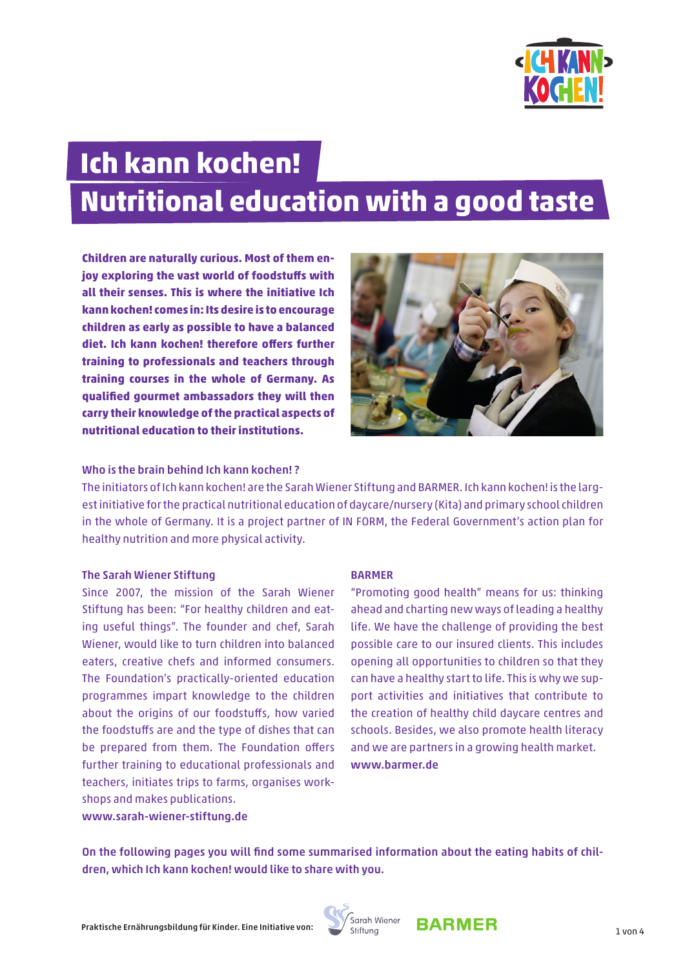

# **Ich kann kochen! Nutritional education with a good taste**

**Children are naturally curious. Most of them enjoy exploring the vast world of foodstuffs with all their senses. This is where the initiative Ich kann kochen! comes in: Its desire is to encourage children as early as possible to have a balanced diet. Ich kann kochen! therefore offers further training to professionals and teachers through training courses in the whole of Germany. As qualified gourmet ambassadors they will then carry their knowledge of the practical aspects of nutritional education to their institutions.** 



#### Who is the brain behind Ich kann kochen! ?

The initiators of Ich kann kochen! are the Sarah Wiener Stiftung and BARMER. Ich kann kochen! is the largest initiative for the practical nutritional education of daycare/nursery (Kita) and primary school children in the whole of Germany. It is a project partner of IN FORM, the Federal Government's action plan for healthy nutrition and more physical activity.

#### The Sarah Wiener Stiftung

Since 2007, the mission of the Sarah Wiener Stiftung has been: "For healthy children and eating useful things". The founder and chef, Sarah Wiener, would like to turn children into balanced eaters, creative chefs and informed consumers. The Foundation's practically-oriented education programmes impart knowledge to the children about the origins of our foodstuffs, how varied the foodstuffs are and the type of dishes that can be prepared from them. The Foundation offers further training to educational professionals and teachers, initiates trips to farms, organises workshops and makes publications. www.sarah-wiener-stiftung.de

#### BARMER

"Promoting good health" means for us: thinking ahead and charting new ways of leading a healthy life. We have the challenge of providing the best possible care to our insured clients. This includes opening all opportunities to children so that they can have a healthy start to life. This is why we support activities and initiatives that contribute to the creation of healthy child daycare centres and schools. Besides, we also promote health literacy and we are partners in a growing health market. www.barmer.de

On the following pages you will find some summarised information about the eating habits of children, which Ich kann kochen! would like to share with you.



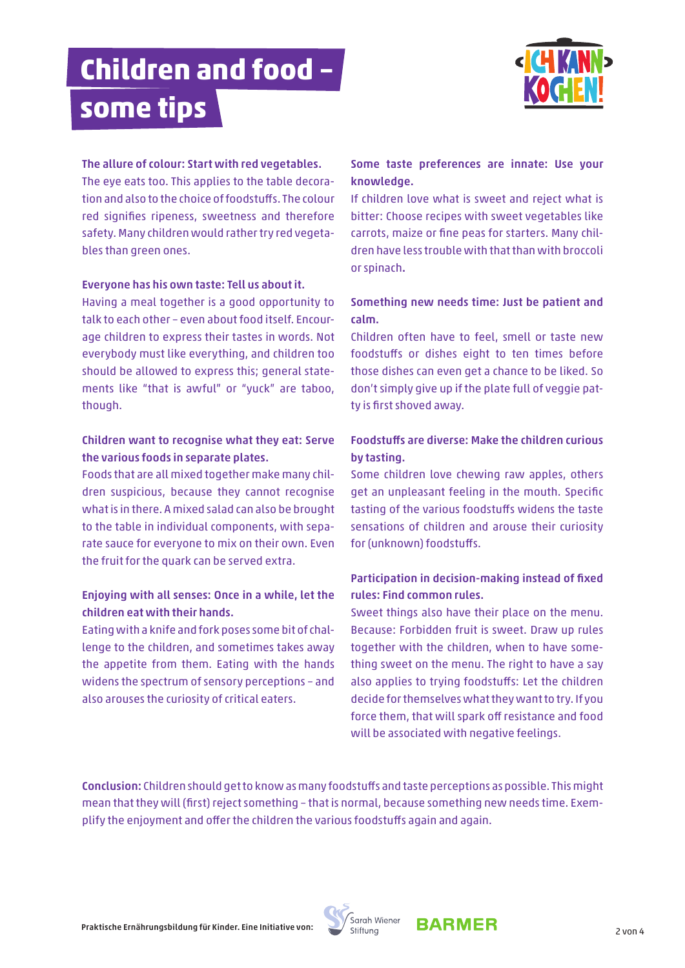# **Children and food – some tips**



#### The allure of colour: Start with red vegetables.

The eye eats too. This applies to the table decoration and also to the choice of foodstuffs. The colour red signifies ripeness, sweetness and therefore safety. Many children would rather try red vegetables than green ones.

#### Everyone has his own taste: Tell us about it.

Having a meal together is a good opportunity to talk to each other – even about food itself. Encourage children to express their tastes in words. Not everybody must like everything, and children too should be allowed to express this; general statements like "that is awful" or "yuck" are taboo, though.

#### Children want to recognise what they eat: Serve the various foods in separate plates.

Foods that are all mixed together make many children suspicious, because they cannot recognise what is in there. A mixed salad can also be brought to the table in individual components, with separate sauce for everyone to mix on their own. Even the fruit for the quark can be served extra.

## Enjoying with all senses: Once in a while, let the children eat with their hands.

Eating with a knife and fork poses some bit of challenge to the children, and sometimes takes away the appetite from them. Eating with the hands widens the spectrum of sensory perceptions – and also arouses the curiosity of critical eaters.

## Some taste preferences are innate: Use your knowledge.

If children love what is sweet and reject what is bitter: Choose recipes with sweet vegetables like carrots, maize or fine peas for starters. Many children have less trouble with that than with broccoli or spinach.

## Something new needs time: Just be patient and calm.

Children often have to feel, smell or taste new foodstuffs or dishes eight to ten times before those dishes can even get a chance to be liked. So don't simply give up if the plate full of veggie patty is first shoved away.

## Foodstuffs are diverse: Make the children curious by tasting.

Some children love chewing raw apples, others get an unpleasant feeling in the mouth. Specific tasting of the various foodstuffs widens the taste sensations of children and arouse their curiosity for (unknown) foodstuffs.

## Participation in decision-making instead of fixed rules: Find common rules.

Sweet things also have their place on the menu. Because: Forbidden fruit is sweet. Draw up rules together with the children, when to have something sweet on the menu. The right to have a say also applies to trying foodstuffs: Let the children decide for themselves what they want to try. If you force them, that will spark off resistance and food will be associated with negative feelings.

Conclusion: Children should get to know as many foodstuffs and taste perceptions as possible. This might mean that they will (first) reject something – that is normal, because something new needs time. Exemplify the enjoyment and offer the children the various foodstuffs again and again.



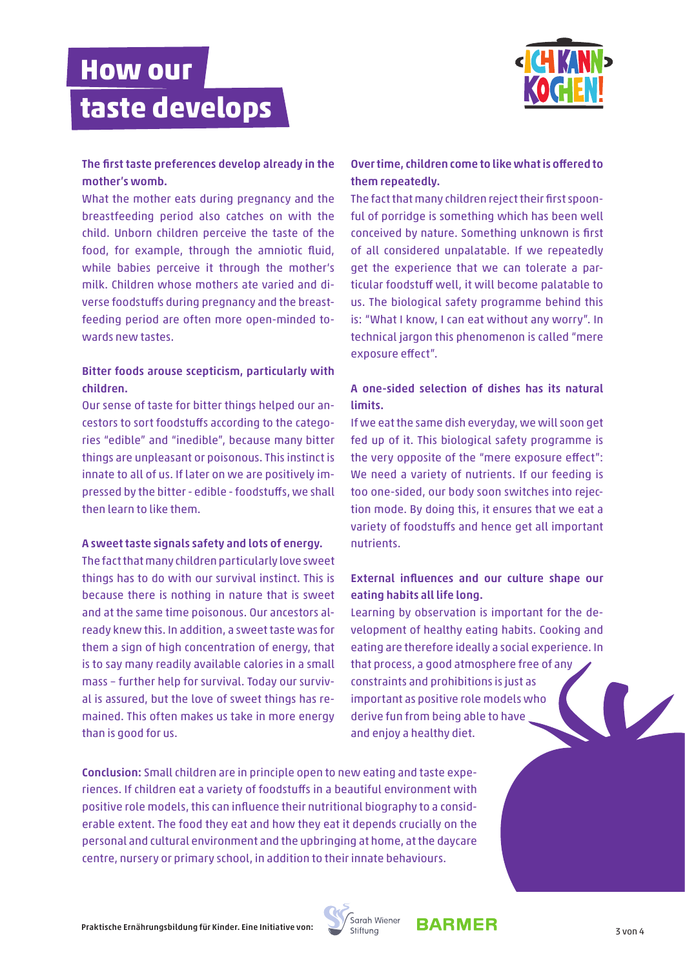## **How our taste develops**



#### The first taste preferences develop already in the mother's womb.

What the mother eats during pregnancy and the breastfeeding period also catches on with the child. Unborn children perceive the taste of the food, for example, through the amniotic fluid, while babies perceive it through the mother's milk. Children whose mothers ate varied and diverse foodstuffs during pregnancy and the breastfeeding period are often more open-minded towards new tastes.

#### Bitter foods arouse scepticism, particularly with children.

Our sense of taste for bitter things helped our ancestors to sort foodstuffs according to the categories "edible" and "inedible", because many bitter things are unpleasant or poisonous. This instinct is innate to all of us. If later on we are positively impressed by the bitter - edible - foodstuffs, we shall then learn to like them.

#### A sweet taste signals safety and lots of energy.

The fact that many children particularly love sweet things has to do with our survival instinct. This is because there is nothing in nature that is sweet and at the same time poisonous. Our ancestors already knew this. In addition, a sweet taste was for them a sign of high concentration of energy, that is to say many readily available calories in a small mass – further help for survival. Today our survival is assured, but the love of sweet things has remained. This often makes us take in more energy than is good for us.

## Over time, children come to like what is offered to them repeatedly.

The fact that many children reject their first spoonful of porridge is something which has been well conceived by nature. Something unknown is first of all considered unpalatable. If we repeatedly get the experience that we can tolerate a particular foodstuff well, it will become palatable to us. The biological safety programme behind this is: "What I know, I can eat without any worry". In technical jargon this phenomenon is called "mere exposure effect".

## A one-sided selection of dishes has its natural limits.

If we eat the same dish everyday, we will soon get fed up of it. This biological safety programme is the very opposite of the "mere exposure effect": We need a variety of nutrients. If our feeding is too one-sided, our body soon switches into rejection mode. By doing this, it ensures that we eat a variety of foodstuffs and hence get all important nutrients.

## External influences and our culture shape our eating habits all life long.

Learning by observation is important for the development of healthy eating habits. Cooking and eating are therefore ideally a social experience. In that process, a good atmosphere free of any constraints and prohibitions is just as important as positive role models who derive fun from being able to have and enjoy a healthy diet.

Conclusion: Small children are in principle open to new eating and taste experiences. If children eat a variety of foodstuffs in a beautiful environment with positive role models, this can influence their nutritional biography to a considerable extent. The food they eat and how they eat it depends crucially on the personal and cultural environment and the upbringing at home, at the daycare centre, nursery or primary school, in addition to their innate behaviours.